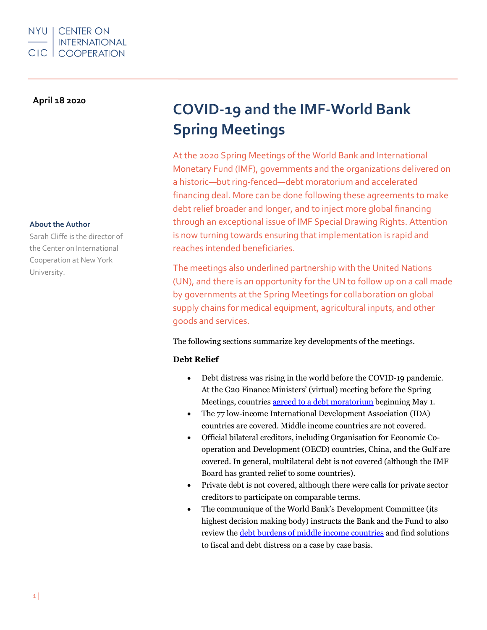# NYU | CENTER ON **INTERNATIONAL CIC | COOPERATION**

# **April 18 2020**

#### **About the Author**

Sarah Cliffe is the director of the Center on International Cooperation at New York University.

# **COVID-19 and the IMF-World Bank Spring Meetings**

At the 2020 Spring Meetings of the World Bank and International Monetary Fund (IMF), governments and the organizations delivered on a historic—but ring-fenced—debt moratorium and accelerated financing deal. More can be done following these agreements to make debt relief broader and longer, and to inject more global financing through an exceptional issue of IMF Special Drawing Rights. Attention is now turning towards ensuring that implementation is rapid and reaches intended beneficiaries.

The meetings also underlined partnership with the United Nations (UN), and there is an opportunity for the UN to follow up on a call made by governments at the Spring Meetings for collaboration on global supply chains for medical equipment, agricultural inputs, and other goods and services.

The following sections summarize key developments of the meetings.

### **Debt Relief**

- Debt distress was rising in the world before the COVID-19 pandemic. At the G20 Finance Ministers' (virtual) meeting before the Spring Meetings, countries agreed to a debt moratorium beginning May 1.
- The 77 low-income International Development Association (IDA) countries are covered. Middle income countries are not covered.
- Official bilateral creditors, including Organisation for Economic Cooperation and Development (OECD) countries, China, and the Gulf are covered. In general, multilateral debt is not covered (although the IMF Board has granted relief to some countries).
- Private debt is not covered, although there were calls for private sector creditors to participate on comparable terms.
- The communique of the World Bank's Development Committee (its highest decision making body) instructs the Bank and the Fund to also review the debt burdens of middle income countries and find solutions to fiscal and debt distress on a case by case basis.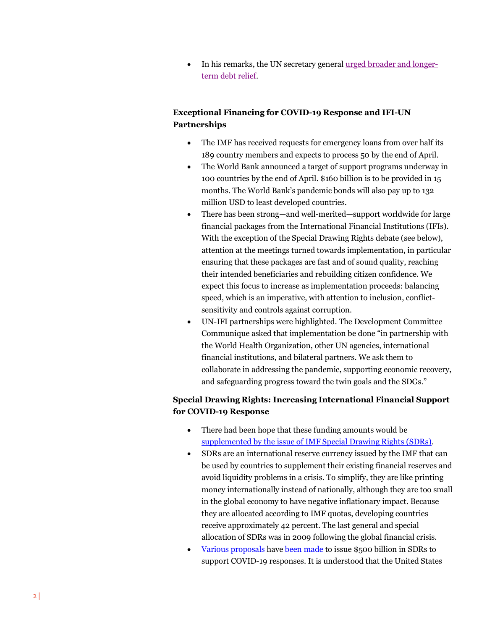• In his remarks, the UN secretary general urged broader and longerterm debt relief.

# **Exceptional Financing for COVID-19 Response and IFI-UN Partnerships**

- The IMF has received requests for emergency loans from over half its 189 country members and expects to process 50 by the end of April.
- The World Bank announced a target of support programs underway in 100 countries by the end of April. \$160 billion is to be provided in 15 months. The World Bank's pandemic bonds will also pay up to 132 million USD to least developed countries.
- There has been strong—and well-merited—support worldwide for large financial packages from the International Financial Institutions (IFIs). With the exception of the Special Drawing Rights debate (see below), attention at the meetings turned towards implementation, in particular ensuring that these packages are fast and of sound quality, reaching their intended beneficiaries and rebuilding citizen confidence. We expect this focus to increase as implementation proceeds: balancing speed, which is an imperative, with attention to inclusion, conflictsensitivity and controls against corruption.
- UN-IFI partnerships were highlighted. The Development Committee Communique asked that implementation be done "in partnership with the World Health Organization, other UN agencies, international financial institutions, and bilateral partners. We ask them to collaborate in addressing the pandemic, supporting economic recovery, and safeguarding progress toward the twin goals and the SDGs."

# **Special Drawing Rights: Increasing International Financial Support for COVID-19 Response**

- There had been hope that these funding amounts would be supplemented by the issue of IMF Special Drawing Rights (SDRs).
- SDRs are an international reserve currency issued by the IMF that can be used by countries to supplement their existing financial reserves and avoid liquidity problems in a crisis. To simplify, they are like printing money internationally instead of nationally, although they are too small in the global economy to have negative inflationary impact. Because they are allocated according to IMF quotas, developing countries receive approximately 42 percent. The last general and special allocation of SDRs was in 2009 following the global financial crisis.
- Various proposals have been made to issue \$500 billion in SDRs to support COVID-19 responses. It is understood that the United States